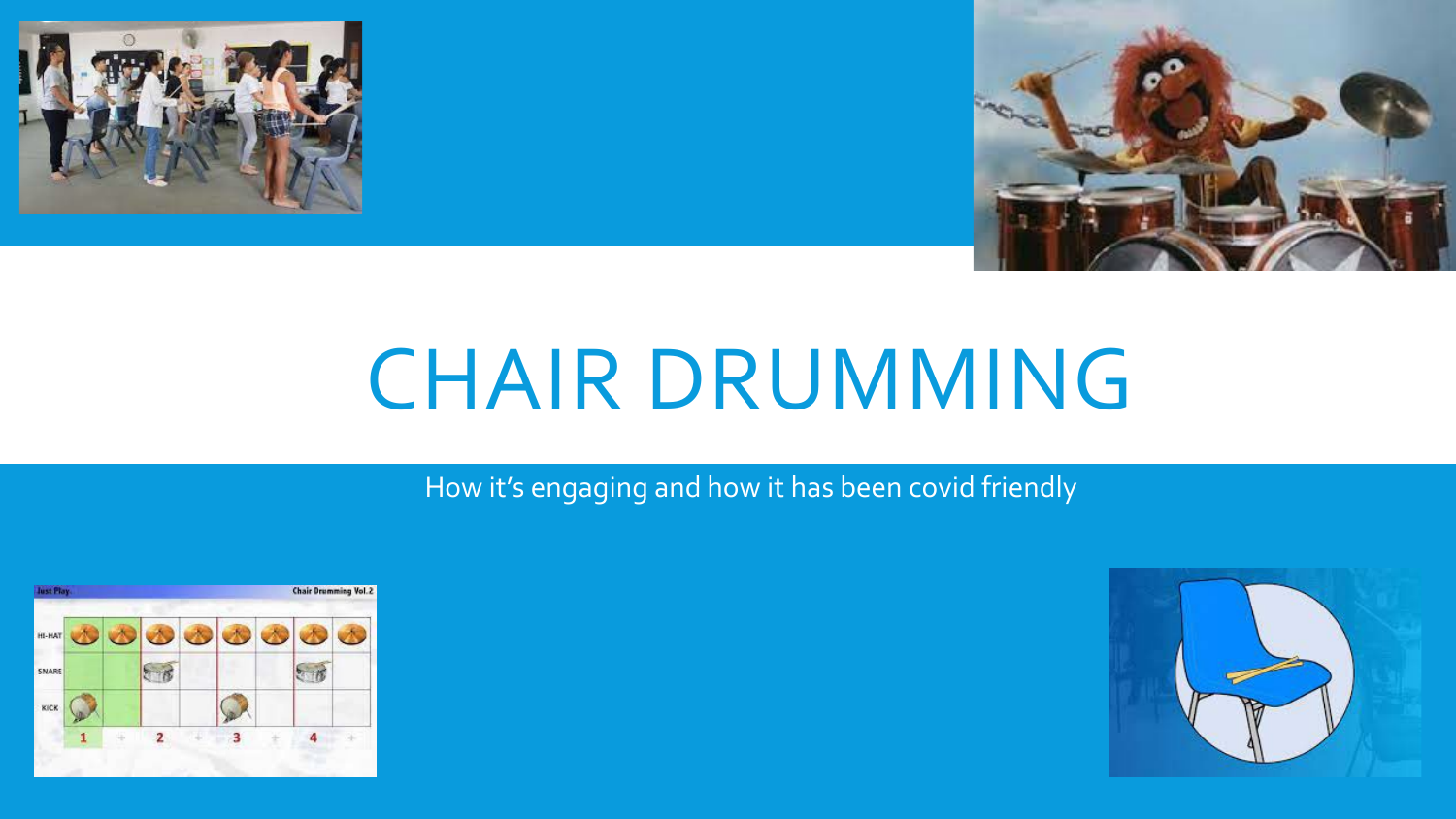



# CHAIR DRUMMING

How it's engaging and how it has been covid friendly



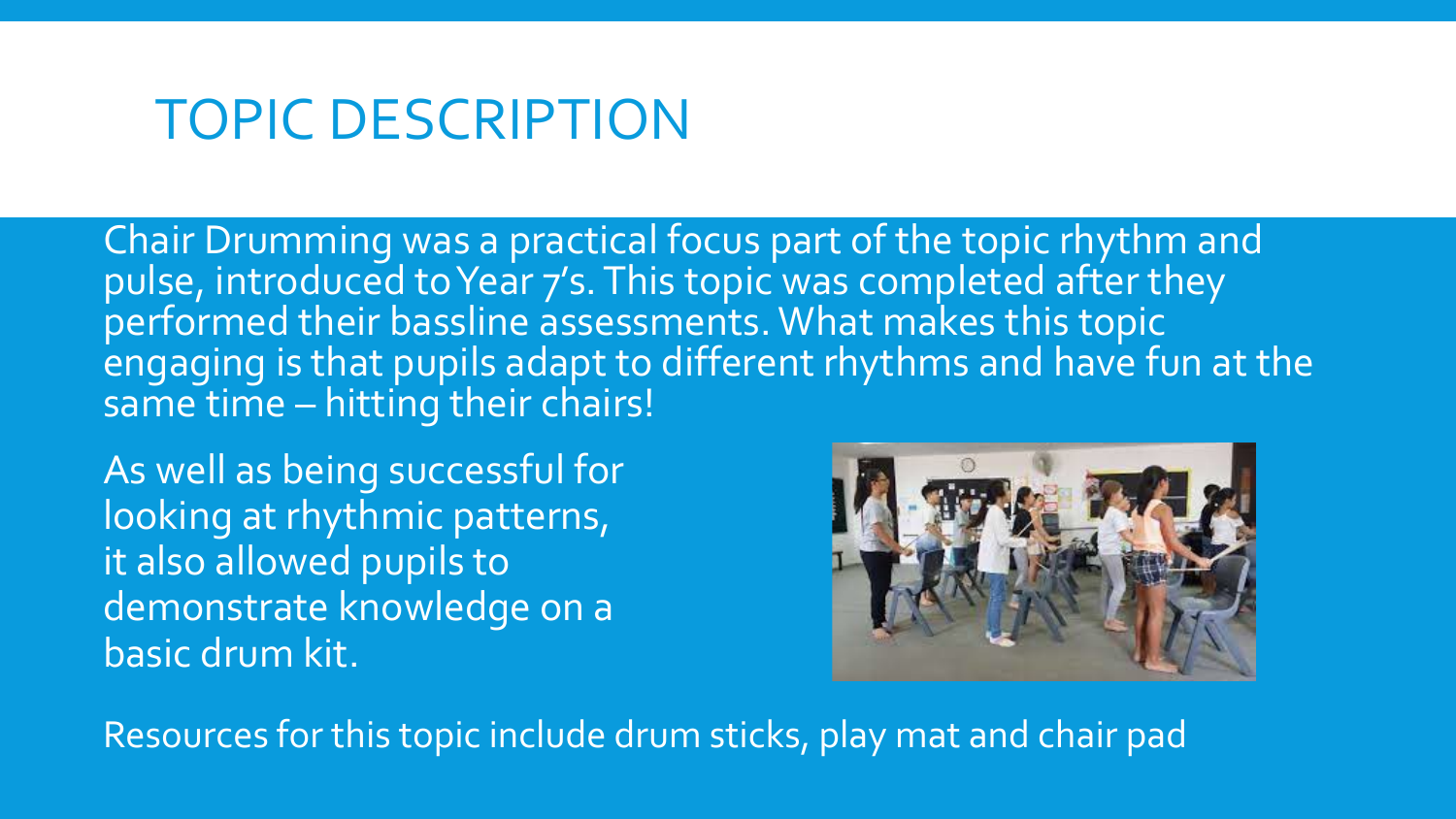### TOPIC DESCRIPTION

Chair Drumming was a practical focus part of the topic rhythm and pulse, introduced to Year 7's. This topic was completed after they performed their bassline assessments. What makes this topic engaging is that pupils adapt to different rhythms and have fun at the same time – hitting their chairs!

As well as being successful for looking at rhythmic patterns, it also allowed pupils to demonstrate knowledge on a basic drum kit.



Resources for this topic include drum sticks, play mat and chair pad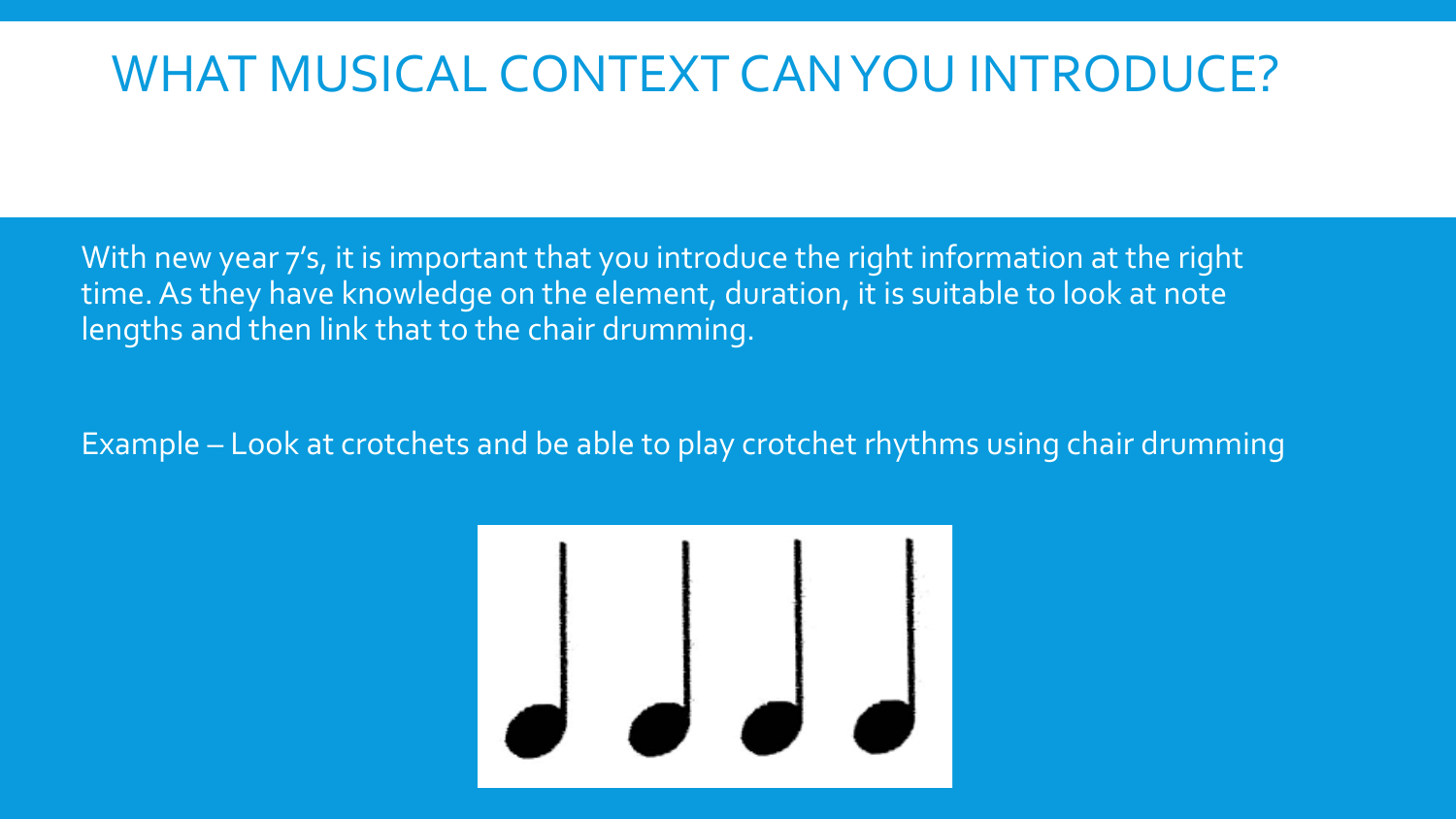### WHAT MUSICAL CONTEXT CAN YOU INTRODUCE?

With new year 7's, it is important that you introduce the right information at the right time. As they have knowledge on the element, duration, it is suitable to look at note lengths and then link that to the chair drumming.

Example – Look at crotchets and be able to play crotchet rhythms using chair drumming

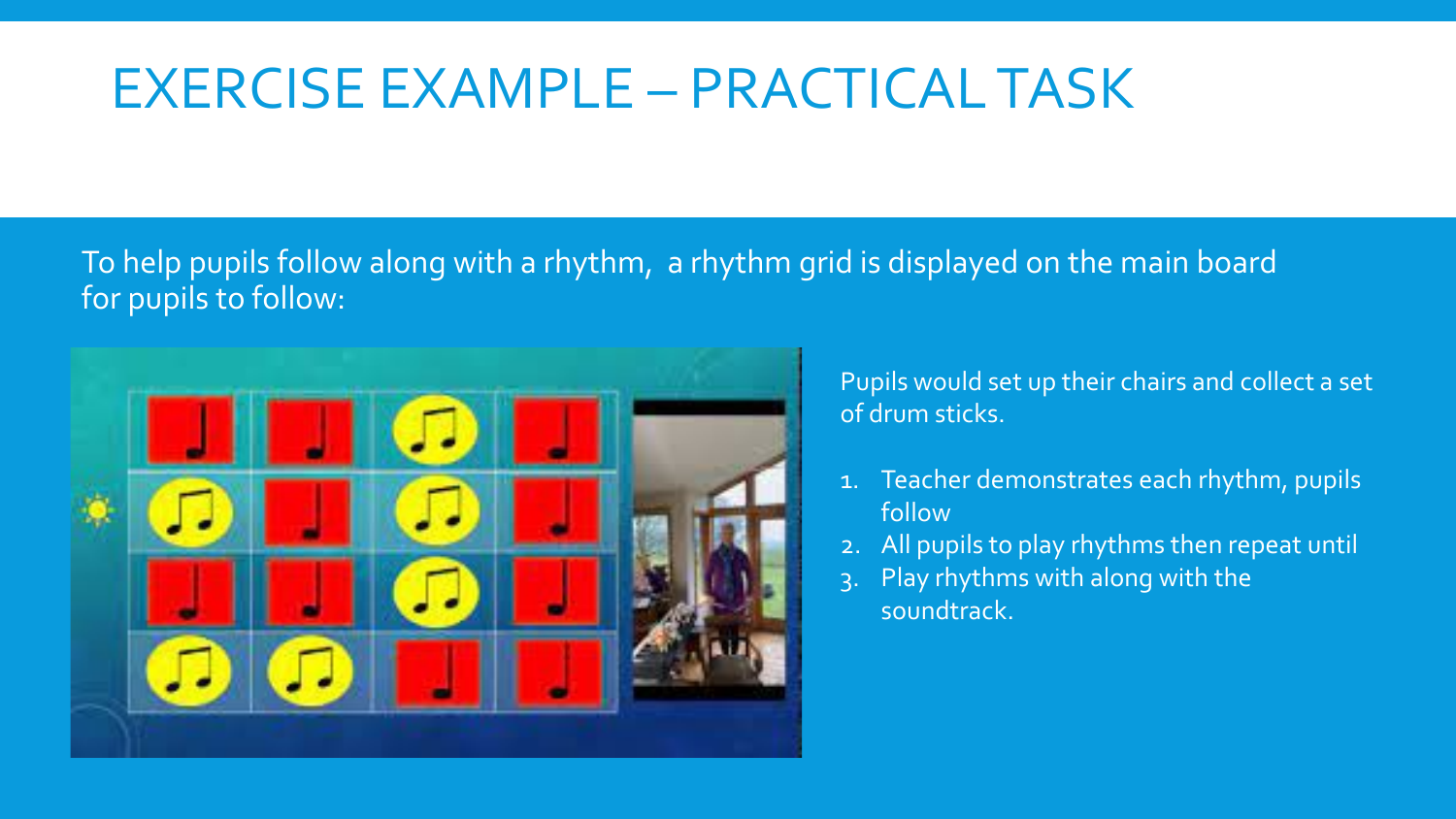## EXERCISE EXAMPLE – PRACTICAL TASK

#### To help pupils follow along with a rhythm, a rhythm grid is displayed on the main board for pupils to follow:



Pupils would set up their chairs and collect a set of drum sticks.

- 1. Teacher demonstrates each rhythm, pupils follow
- 2. All pupils to play rhythms then repeat until
- 3. Play rhythms with along with the soundtrack.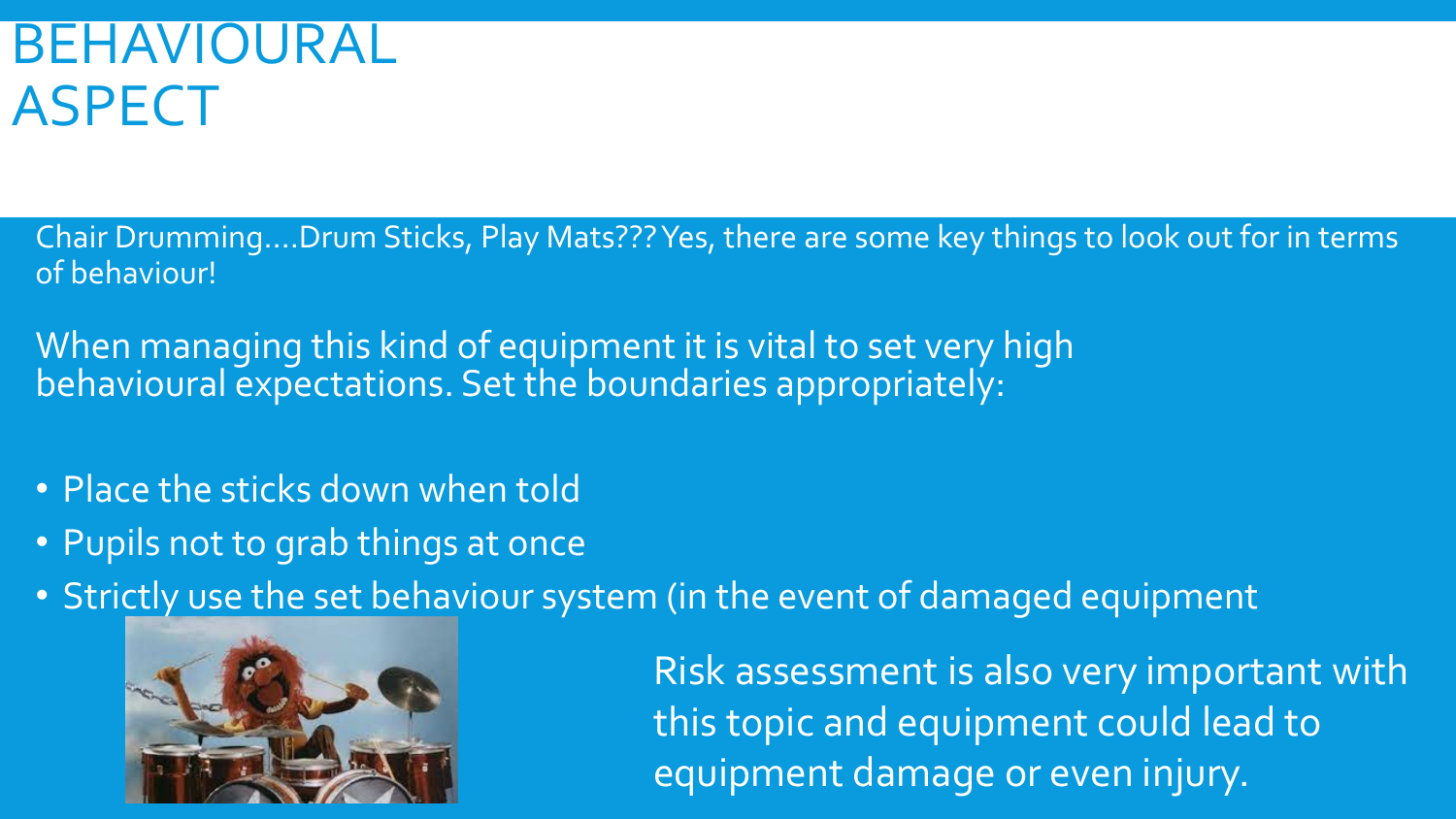## BEHAVIOURAL ASPECT

- Chair Drumming….Drum Sticks, Play Mats??? Yes, there are some key things to look out for in terms of behaviour!
- When managing this kind of equipment it is vital to set very high behavioural expectations. Set the boundaries appropriately:
- Place the sticks down when told
- Pupils not to grab things at once
- Strictly use the set behaviour system (in the event of damaged equipment



Risk assessment is also very important with this topic and equipment could lead to equipment damage or even injury.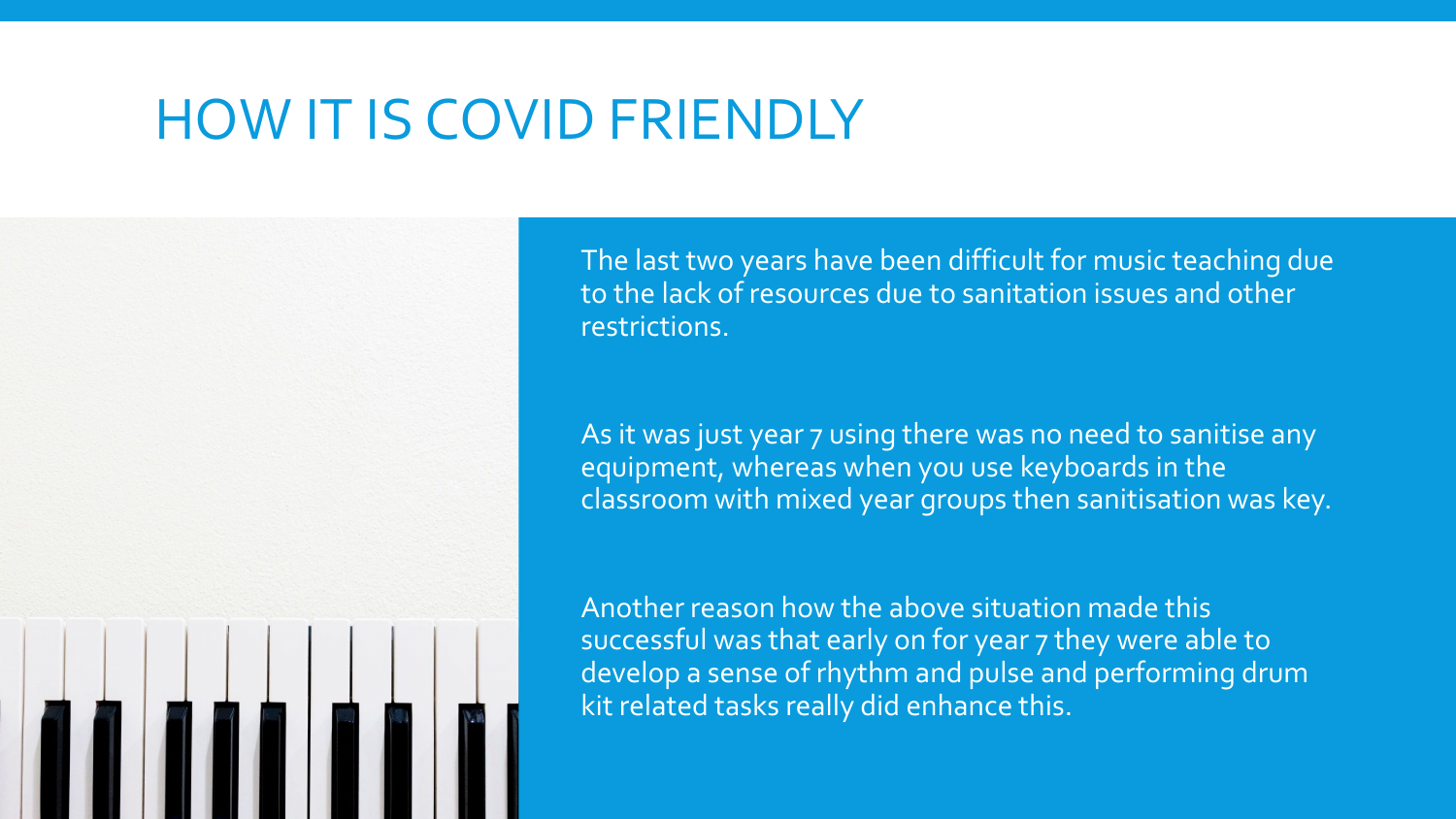### HOW IT IS COVID FRIENDLY

The last two years have been difficult for music teaching due to the lack of resources due to sanitation issues and other restrictions.

As it was just year 7 using there was no need to sanitise any equipment, whereas when you use keyboards in the classroom with mixed year groups then sanitisation was key.

Another reason how the above situation made this successful was that early on for year 7 they were able to develop a sense of rhythm and pulse and performing drum kit related tasks really did enhance this.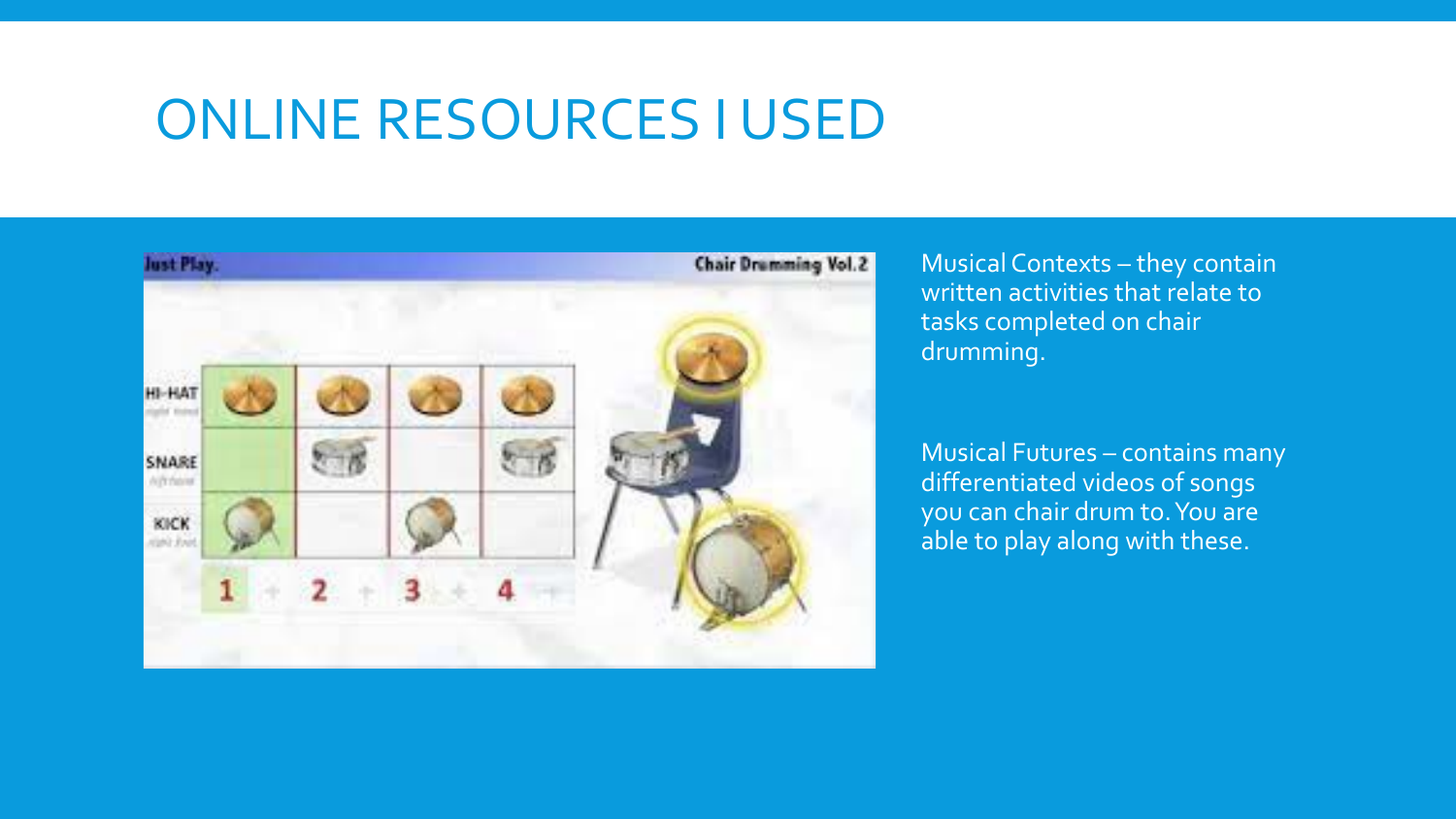### ONLINE RESOURCES I USED



Musical Contexts – they contain written activities that relate to tasks completed on chair drumming.

Musical Futures – contains many differentiated videos of songs you can chair drum to. You are able to play along with these.